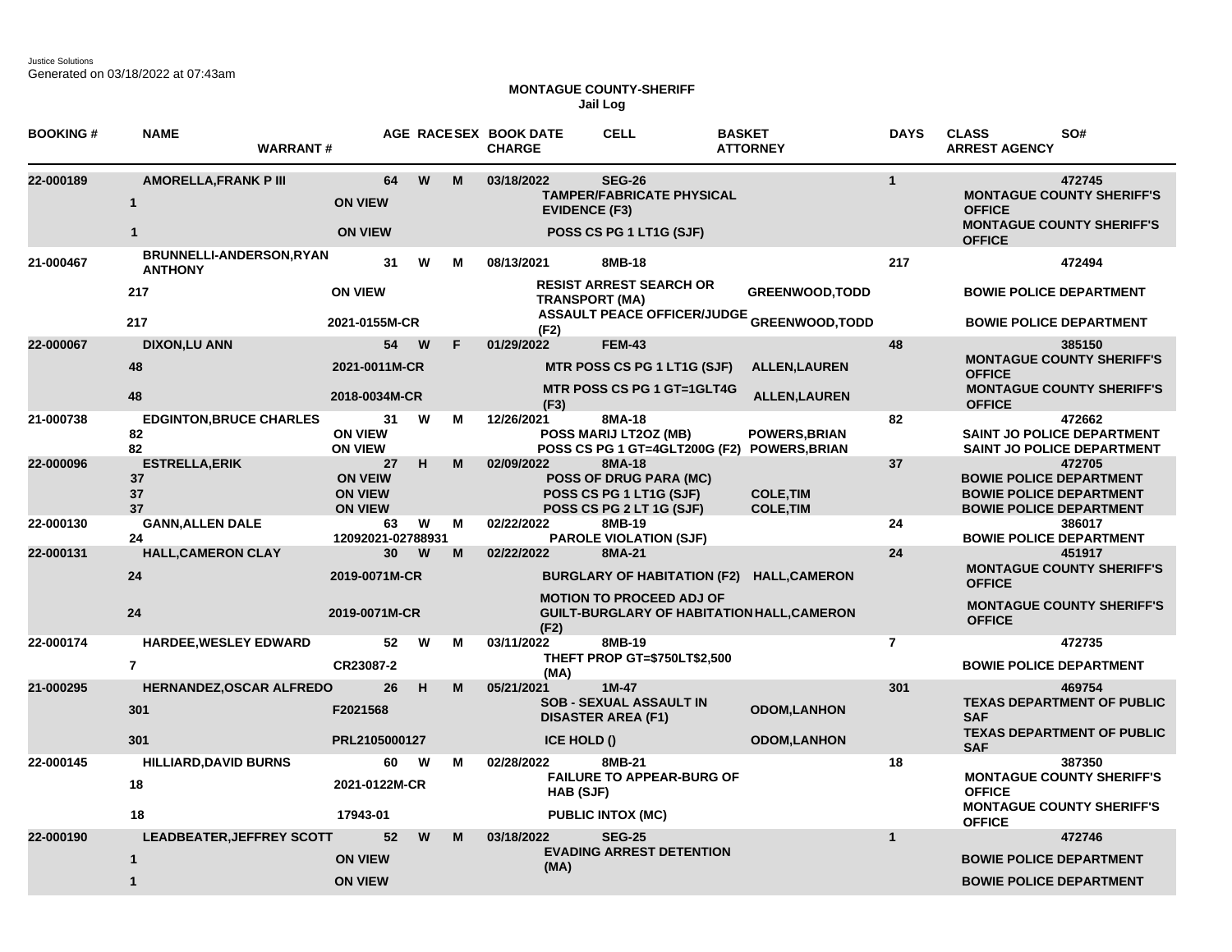## **MONTAGUE COUNTY-SHERIFF Jail Log**

| <b>BOOKING#</b>                | <b>NAME</b><br><b>WARRANT#</b>             |                                                          |      |    | AGE RACESEX BOOK DATE<br><b>CHARGE</b>        | <b>CELL</b>                                                                                    | <b>BASKET</b><br><b>ATTORNEY</b>                                            | <b>DAYS</b>                    | <b>CLASS</b><br>SO#<br><b>ARREST AGENCY</b>                                                                  |  |
|--------------------------------|--------------------------------------------|----------------------------------------------------------|------|----|-----------------------------------------------|------------------------------------------------------------------------------------------------|-----------------------------------------------------------------------------|--------------------------------|--------------------------------------------------------------------------------------------------------------|--|
| 22-000189                      | <b>AMORELLA, FRANK P III</b><br>-1         | 64<br><b>ON VIEW</b>                                     | W    | M  | 03/18/2022<br><b>EVIDENCE (F3)</b>            | <b>SEG-26</b><br><b>TAMPER/FABRICATE PHYSICAL</b>                                              |                                                                             | $\mathbf{1}$                   | 472745<br><b>MONTAGUE COUNTY SHERIFF'S</b><br><b>OFFICE</b>                                                  |  |
| <b>ON VIEW</b><br>$\mathbf{1}$ |                                            |                                                          |      |    |                                               | POSS CS PG 1 LT1G (SJF)                                                                        |                                                                             |                                | <b>MONTAGUE COUNTY SHERIFF'S</b><br><b>OFFICE</b>                                                            |  |
| 21-000467                      | BRUNNELLI-ANDERSON, RYAN<br><b>ANTHONY</b> | 31                                                       | W    | м  | 08/13/2021                                    | 8MB-18                                                                                         |                                                                             | 217                            | 472494                                                                                                       |  |
|                                | 217                                        | <b>ON VIEW</b>                                           |      |    | <b>TRANSPORT (MA)</b>                         | <b>RESIST ARREST SEARCH OR</b>                                                                 | <b>GREENWOOD, TODD</b><br><b>ASSAULT PEACE OFFICER/JUDGE GREENWOOD,TODD</b> |                                | <b>BOWIE POLICE DEPARTMENT</b>                                                                               |  |
|                                | 217<br>2021-0155M-CR                       |                                                          |      |    | (F2)                                          |                                                                                                |                                                                             | <b>BOWIE POLICE DEPARTMENT</b> |                                                                                                              |  |
| 22-000067                      | <b>DIXON,LU ANN</b>                        |                                                          | 54 W | F. | 01/29/2022                                    | <b>FEM-43</b>                                                                                  |                                                                             | 48                             | 385150                                                                                                       |  |
|                                | 48                                         | 2021-0011M-CR                                            |      |    |                                               | MTR POSS CS PG 1 LT1G (SJF)                                                                    | <b>ALLEN, LAUREN</b>                                                        |                                | <b>MONTAGUE COUNTY SHERIFF'S</b><br><b>OFFICE</b>                                                            |  |
|                                | 48                                         | 2018-0034M-CR                                            |      |    | (F3)                                          | <b>MTR POSS CS PG 1 GT=1GLT4G</b>                                                              | <b>ALLEN, LAUREN</b>                                                        |                                | <b>MONTAGUE COUNTY SHERIFF'S</b><br><b>OFFICE</b>                                                            |  |
| 21-000738                      | <b>EDGINTON, BRUCE CHARLES</b><br>82<br>82 | 31<br><b>ON VIEW</b><br><b>ON VIEW</b>                   | W    | М  | 12/26/2021                                    | 8MA-18<br>POSS MARIJ LT2OZ (MB)                                                                | <b>POWERS, BRIAN</b><br>POSS CS PG 1 GT=4GLT200G (F2) POWERS, BRIAN         | 82                             | 472662<br>SAINT JO POLICE DEPARTMENT<br>SAINT JO POLICE DEPARTMENT                                           |  |
| 22-000096                      | <b>ESTRELLA, ERIK</b><br>37<br>37<br>37    | 27<br><b>ON VEIW</b><br><b>ON VIEW</b><br><b>ON VIEW</b> | н    | M  | 02/09/2022                                    | 8MA-18<br><b>POSS OF DRUG PARA (MC)</b><br>POSS CS PG 1 LT1G (SJF)<br>POSS CS PG 2 LT 1G (SJF) | <b>COLE, TIM</b><br><b>COLE, TIM</b>                                        | 37                             | 472705<br><b>BOWIE POLICE DEPARTMENT</b><br><b>BOWIE POLICE DEPARTMENT</b><br><b>BOWIE POLICE DEPARTMENT</b> |  |
| 22-000130                      | <b>GANN, ALLEN DALE</b><br>24              | 63<br>12092021-02788931                                  | W    | м  | 02/22/2022                                    | 8MB-19<br><b>PAROLE VIOLATION (SJF)</b>                                                        |                                                                             | 24                             | 386017<br><b>BOWIE POLICE DEPARTMENT</b>                                                                     |  |
| 22-000131                      | <b>HALL, CAMERON CLAY</b>                  | 30                                                       | W    | M  | 02/22/2022                                    | 8MA-21                                                                                         |                                                                             | 24                             | 451917                                                                                                       |  |
|                                | 24                                         | 2019-0071M-CR                                            |      |    |                                               |                                                                                                | BURGLARY OF HABITATION (F2) HALL, CAMERON                                   |                                | <b>MONTAGUE COUNTY SHERIFF'S</b><br><b>OFFICE</b>                                                            |  |
|                                | 24                                         | 2019-0071M-CR                                            |      |    | (F2)                                          | <b>MOTION TO PROCEED ADJ OF</b>                                                                | <b>GUILT-BURGLARY OF HABITATION HALL, CAMERON</b>                           |                                | <b>MONTAGUE COUNTY SHERIFF'S</b><br><b>OFFICE</b>                                                            |  |
| 22-000174                      | <b>HARDEE, WESLEY EDWARD</b>               | 52                                                       | W    | М  | 03/11/2022                                    | 8MB-19                                                                                         |                                                                             | $\overline{7}$                 | 472735                                                                                                       |  |
|                                | $\overline{7}$                             | CR23087-2                                                |      |    | (MA)                                          | THEFT PROP GT=\$750LT\$2,500                                                                   |                                                                             |                                | <b>BOWIE POLICE DEPARTMENT</b>                                                                               |  |
| 21-000295                      | <b>HERNANDEZ, OSCAR ALFREDO</b>            | 26                                                       | H    | M  | 05/21/2021                                    | $1M-47$                                                                                        |                                                                             | 301                            | 469754                                                                                                       |  |
|                                | 301                                        | F2021568                                                 |      |    |                                               | <b>SOB - SEXUAL ASSAULT IN</b><br><b>DISASTER AREA (F1)</b>                                    | <b>ODOM,LANHON</b>                                                          |                                | <b>TEXAS DEPARTMENT OF PUBLIC</b><br><b>SAF</b>                                                              |  |
|                                | 301                                        | PRL2105000127                                            |      |    | ICE HOLD ()                                   |                                                                                                | <b>ODOM,LANHON</b>                                                          |                                | <b>TEXAS DEPARTMENT OF PUBLIC</b><br><b>SAF</b>                                                              |  |
| 22-000145                      | <b>HILLIARD, DAVID BURNS</b>               | 60                                                       | W    | м  | 02/28/2022                                    | 8MB-21                                                                                         |                                                                             | 18                             | 387350                                                                                                       |  |
|                                | 18                                         | 2021-0122M-CR                                            |      |    | <b>FAILURE TO APPEAR-BURG OF</b><br>HAB (SJF) |                                                                                                |                                                                             |                                | <b>MONTAGUE COUNTY SHERIFF'S</b><br><b>OFFICE</b>                                                            |  |
|                                | 18                                         | 17943-01                                                 |      |    |                                               | <b>PUBLIC INTOX (MC)</b>                                                                       |                                                                             |                                | <b>MONTAGUE COUNTY SHERIFF'S</b><br><b>OFFICE</b>                                                            |  |
| 22-000190                      | <b>LEADBEATER, JEFFREY SCOTT</b>           | 52                                                       | W    | M  | 03/18/2022                                    | <b>SEG-25</b>                                                                                  |                                                                             | $\mathbf{1}$                   | 472746                                                                                                       |  |
|                                | $\mathbf{1}$                               | <b>ON VIEW</b>                                           |      |    | (MA)                                          | <b>EVADING ARREST DETENTION</b>                                                                |                                                                             |                                | <b>BOWIE POLICE DEPARTMENT</b>                                                                               |  |
|                                | $\mathbf{1}$                               | <b>ON VIEW</b>                                           |      |    |                                               |                                                                                                |                                                                             |                                | <b>BOWIE POLICE DEPARTMENT</b>                                                                               |  |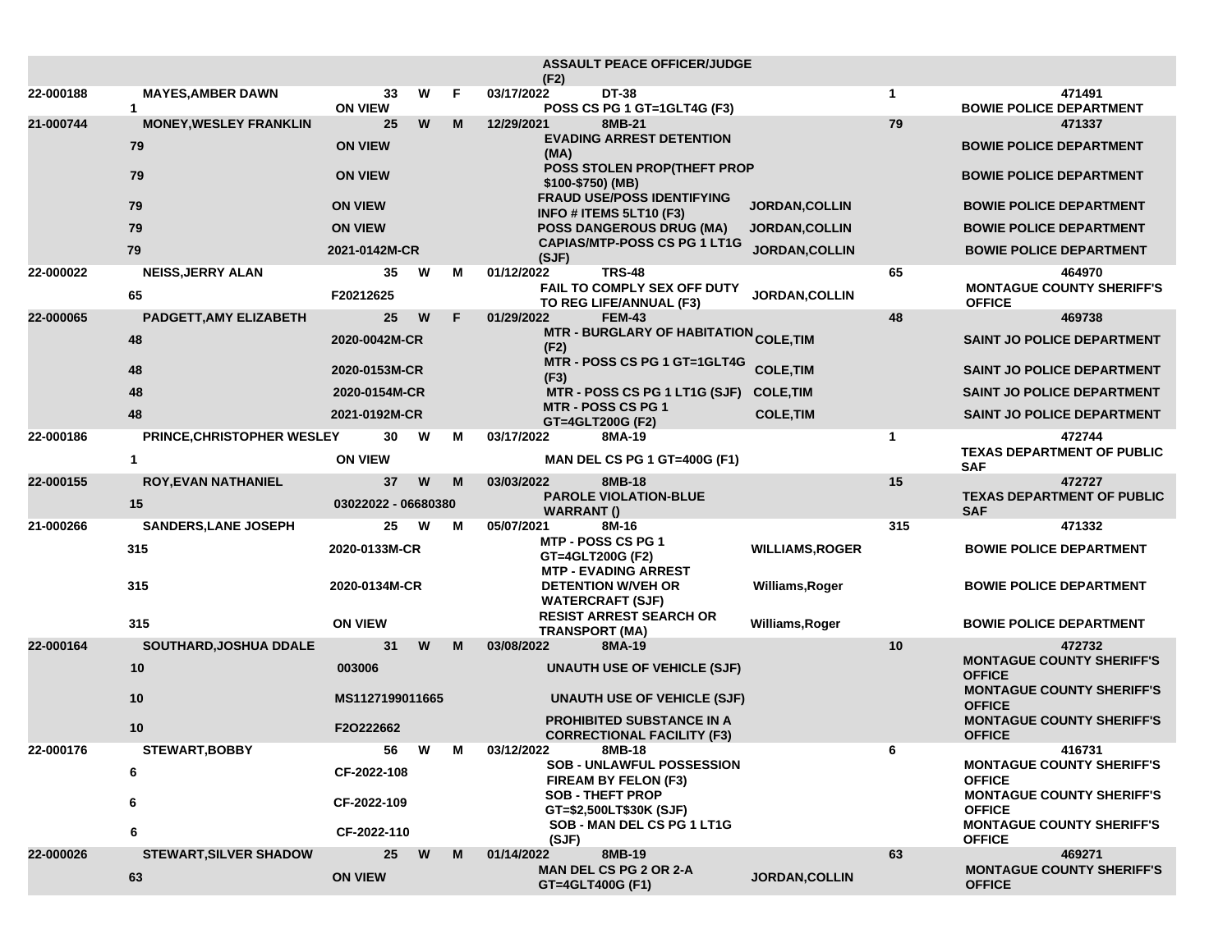|           |                               |                                |   |   | <b>ASSAULT PEACE OFFICER/JUDGE</b><br>(F2)                                   |                        |                                                   |                                                   |
|-----------|-------------------------------|--------------------------------|---|---|------------------------------------------------------------------------------|------------------------|---------------------------------------------------|---------------------------------------------------|
| 22-000188 | <b>MAYES,AMBER DAWN</b><br>1  | 33<br><b>ON VIEW</b>           | W | F | 03/17/2022<br><b>DT-38</b><br>POSS CS PG 1 GT=1GLT4G (F3)                    |                        | $\mathbf{1}$                                      | 471491<br><b>BOWIE POLICE DEPARTMENT</b>          |
| 21-000744 | <b>MONEY, WESLEY FRANKLIN</b> | 25                             | W | M | 12/29/2021<br>8MB-21                                                         |                        | 79                                                | 471337                                            |
|           | 79                            | <b>ON VIEW</b>                 |   |   | <b>EVADING ARREST DETENTION</b><br>(MA)                                      |                        |                                                   | <b>BOWIE POLICE DEPARTMENT</b>                    |
|           | 79                            | <b>ON VIEW</b>                 |   |   | POSS STOLEN PROP(THEFT PROP<br>\$100-\$750) (MB)                             |                        |                                                   | <b>BOWIE POLICE DEPARTMENT</b>                    |
|           | 79                            | <b>ON VIEW</b>                 |   |   | <b>FRAUD USE/POSS IDENTIFYING</b><br>INFO # ITEMS $5LT10$ (F3)               | <b>JORDAN, COLLIN</b>  |                                                   | <b>BOWIE POLICE DEPARTMENT</b>                    |
|           | 79                            | <b>ON VIEW</b>                 |   |   | <b>POSS DANGEROUS DRUG (MA)</b>                                              | <b>JORDAN, COLLIN</b>  |                                                   | <b>BOWIE POLICE DEPARTMENT</b>                    |
|           | 79                            | 2021-0142M-CR                  |   |   | <b>CAPIAS/MTP-POSS CS PG 1 LT1G</b><br>(SJF)                                 | <b>JORDAN, COLLIN</b>  |                                                   | <b>BOWIE POLICE DEPARTMENT</b>                    |
| 22-000022 | <b>NEISS, JERRY ALAN</b>      | 35                             | W | м | <b>TRS-48</b><br>01/12/2022<br>FAIL TO COMPLY SEX OFF DUTY                   |                        | 65                                                | 464970<br><b>MONTAGUE COUNTY SHERIFF'S</b>        |
|           | 65                            | F20212625                      |   |   | TO REG LIFE/ANNUAL (F3)                                                      | <b>JORDAN, COLLIN</b>  |                                                   | <b>OFFICE</b>                                     |
| 22-000065 | PADGETT, AMY ELIZABETH        | 25                             | W | F | 01/29/2022<br><b>FEM-43</b>                                                  |                        | 48                                                | 469738                                            |
|           | 48                            | 2020-0042M-CR                  |   |   | MTR - BURGLARY OF HABITATION <sub>COLE,</sub> TIM<br>(F2)                    |                        |                                                   | <b>SAINT JO POLICE DEPARTMENT</b>                 |
|           | 48                            | 2020-0153M-CR                  |   |   | MTR - POSS CS PG 1 GT=1GLT4G<br>(F3)                                         | <b>COLE, TIM</b>       |                                                   | <b>SAINT JO POLICE DEPARTMENT</b>                 |
|           | 48                            | 2020-0154M-CR                  |   |   | MTR - POSS CS PG 1 LT1G (SJF)                                                | <b>COLE, TIM</b>       |                                                   | <b>SAINT JO POLICE DEPARTMENT</b>                 |
|           | 48                            | 2021-0192M-CR                  |   |   | <b>MTR - POSS CS PG 1</b><br>GT=4GLT200G (F2)                                | <b>COLE, TIM</b>       |                                                   | SAINT JO POLICE DEPARTMENT                        |
| 22-000186 | PRINCE, CHRISTOPHER WESLEY    | 30                             | W | M | 03/17/2022<br>8MA-19                                                         |                        | 1                                                 | 472744                                            |
|           | 1                             | <b>ON VIEW</b>                 |   |   | MAN DEL CS PG 1 GT=400G (F1)                                                 |                        |                                                   | <b>TEXAS DEPARTMENT OF PUBLIC</b><br><b>SAF</b>   |
| 22-000155 | <b>ROY, EVAN NATHANIEL</b>    | 37                             | W | M | 03/03/2022<br>8MB-18<br><b>PAROLE VIOLATION-BLUE</b>                         |                        | 15                                                | 472727<br><b>TEXAS DEPARTMENT OF PUBLIC</b>       |
|           | 15                            | 03022022 - 06680380            |   |   | <b>WARRANT()</b>                                                             |                        |                                                   | <b>SAF</b>                                        |
| 21-000266 | SANDERS, LANE JOSEPH          | 25                             | W | M | 05/07/2021<br>8M-16                                                          |                        | 315                                               | 471332                                            |
|           | 315                           | 2020-0133M-CR<br>2020-0134M-CR |   |   | <b>MTP - POSS CS PG 1</b><br>GT=4GLT200G (F2)<br><b>MTP - EVADING ARREST</b> | <b>WILLIAMS, ROGER</b> |                                                   | <b>BOWIE POLICE DEPARTMENT</b>                    |
|           | 315                           |                                |   |   | <b>DETENTION W/VEH OR</b><br><b>WATERCRAFT (SJF)</b>                         | Williams, Roger        |                                                   | <b>BOWIE POLICE DEPARTMENT</b>                    |
|           | 315                           | <b>ON VIEW</b>                 |   |   | <b>RESIST ARREST SEARCH OR</b>                                               | Williams, Roger        |                                                   | <b>BOWIE POLICE DEPARTMENT</b>                    |
| 22-000164 | SOUTHARD, JOSHUA DDALE        | 31                             | W | M | <b>TRANSPORT (MA)</b><br>03/08/2022<br>8MA-19                                |                        | 10                                                | 472732                                            |
|           | 10                            | 003006                         |   |   | <b>UNAUTH USE OF VEHICLE (SJF)</b>                                           |                        |                                                   | <b>MONTAGUE COUNTY SHERIFF'S</b><br><b>OFFICE</b> |
|           | 10                            | MS1127199011665                |   |   | <b>UNAUTH USE OF VEHICLE (SJF)</b>                                           |                        | <b>MONTAGUE COUNTY SHERIFF'S</b><br><b>OFFICE</b> |                                                   |
|           | 10                            | F2O222662                      |   |   | <b>PROHIBITED SUBSTANCE IN A</b><br><b>CORRECTIONAL FACILITY (F3)</b>        |                        |                                                   | <b>MONTAGUE COUNTY SHERIFF'S</b><br><b>OFFICE</b> |
| 22-000176 | <b>STEWART, BOBBY</b>         | 56                             | W | M | 03/12/2022<br>8MB-18                                                         |                        | 6                                                 | 416731                                            |
|           | 6                             | CF-2022-108<br>CF-2022-109     |   |   | <b>SOB - UNLAWFUL POSSESSION</b><br>FIREAM BY FELON (F3)                     |                        |                                                   | <b>MONTAGUE COUNTY SHERIFF'S</b><br><b>OFFICE</b> |
|           | 6                             |                                |   |   | <b>SOB - THEFT PROP</b><br>GT=\$2,500LT\$30K (SJF)                           |                        |                                                   | <b>MONTAGUE COUNTY SHERIFF'S</b><br><b>OFFICE</b> |
|           | 6                             | CF-2022-110                    |   |   | SOB - MAN DEL CS PG 1 LT1G<br>(SJF)                                          |                        |                                                   | <b>MONTAGUE COUNTY SHERIFF'S</b><br><b>OFFICE</b> |
| 22-000026 | <b>STEWART, SILVER SHADOW</b> | 25                             | W | M | 8MB-19<br>01/14/2022                                                         |                        | 63                                                | 469271                                            |
|           | 63                            | <b>ON VIEW</b>                 |   |   | <b>MAN DEL CS PG 2 OR 2-A</b><br>GT=4GLT400G (F1)                            | <b>JORDAN, COLLIN</b>  |                                                   | <b>MONTAGUE COUNTY SHERIFF'S</b><br><b>OFFICE</b> |